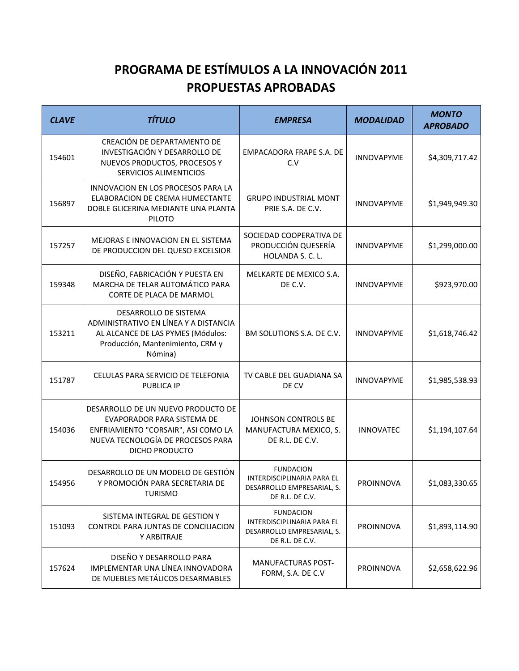## **PROGRAMA DE ESTÍMULOS A LA INNOVACIÓN 2011 PROPUESTAS APROBADAS**

| <b>CLAVE</b> | <b>TÍTULO</b>                                                                                                                                                  | <b>EMPRESA</b>                                                                                  | <b>MODALIDAD</b>  | <b>MONTO</b><br><b>APROBADO</b> |
|--------------|----------------------------------------------------------------------------------------------------------------------------------------------------------------|-------------------------------------------------------------------------------------------------|-------------------|---------------------------------|
| 154601       | CREACIÓN DE DEPARTAMENTO DE<br>INVESTIGACIÓN Y DESARROLLO DE<br>NUEVOS PRODUCTOS, PROCESOS Y<br>SERVICIOS ALIMENTICIOS                                         | EMPACADORA FRAPE S.A. DE<br>C.V                                                                 | <b>INNOVAPYME</b> | \$4,309,717.42                  |
| 156897       | INNOVACION EN LOS PROCESOS PARA LA<br>ELABORACION DE CREMA HUMECTANTE<br>DOBLE GLICERINA MEDIANTE UNA PLANTA<br><b>PILOTO</b>                                  | <b>GRUPO INDUSTRIAL MONT</b><br>PRIE S.A. DE C.V.                                               | <b>INNOVAPYME</b> | \$1,949,949.30                  |
| 157257       | MEJORAS E INNOVACION EN EL SISTEMA<br>DE PRODUCCION DEL QUESO EXCELSIOR                                                                                        | SOCIEDAD COOPERATIVA DE<br>PRODUCCIÓN QUESERÍA<br>HOLANDA S. C. L.                              | INNOVAPYME        | \$1,299,000.00                  |
| 159348       | DISEÑO, FABRICACIÓN Y PUESTA EN<br>MARCHA DE TELAR AUTOMÁTICO PARA<br>CORTE DE PLACA DE MARMOL                                                                 | MELKARTE DE MEXICO S.A.<br>DE C.V.                                                              | <b>INNOVAPYME</b> | \$923,970.00                    |
| 153211       | DESARROLLO DE SISTEMA<br>ADMINISTRATIVO EN LÍNEA Y A DISTANCIA<br>AL ALCANCE DE LAS PYMES (Módulos:<br>Producción, Mantenimiento, CRM y<br>Nómina)             | BM SOLUTIONS S.A. DE C.V.                                                                       | <b>INNOVAPYME</b> | \$1,618,746.42                  |
| 151787       | CELULAS PARA SERVICIO DE TELEFONIA<br><b>PUBLICA IP</b>                                                                                                        | TV CABLE DEL GUADIANA SA<br>DE CV                                                               | <b>INNOVAPYME</b> | \$1,985,538.93                  |
| 154036       | DESARROLLO DE UN NUEVO PRODUCTO DE<br>EVAPORADOR PARA SISTEMA DE<br>ENFRIAMIENTO "CORSAIR", ASI COMO LA<br>NUEVA TECNOLOGÍA DE PROCESOS PARA<br>DICHO PRODUCTO | JOHNSON CONTROLS BE<br>MANUFACTURA MEXICO, S.<br>DE R.L. DE C.V.                                | <b>INNOVATEC</b>  | \$1,194,107.64                  |
| 154956       | DESARROLLO DE UN MODELO DE GESTIÓN<br>Y PROMOCIÓN PARA SECRETARIA DE<br><b>TURISMO</b>                                                                         | <b>FUNDACION</b><br>INTERDISCIPLINARIA PARA EL<br>DESARROLLO EMPRESARIAL, S.<br>DE R.L. DE C.V. | PROINNOVA         | \$1,083,330.65                  |
| 151093       | SISTEMA INTEGRAL DE GESTION Y<br>CONTROL PARA JUNTAS DE CONCILIACION<br>Y ARBITRAJE                                                                            | <b>FUNDACION</b><br>INTERDISCIPLINARIA PARA EL<br>DESARROLLO EMPRESARIAL, S.<br>DE R.L. DE C.V. | <b>PROINNOVA</b>  | \$1,893,114.90                  |
| 157624       | DISEÑO Y DESARROLLO PARA<br>IMPLEMENTAR UNA LÍNEA INNOVADORA<br>DE MUEBLES METÁLICOS DESARMABLES                                                               | <b>MANUFACTURAS POST-</b><br>FORM, S.A. DE C.V                                                  | <b>PROINNOVA</b>  | \$2,658,622.96                  |